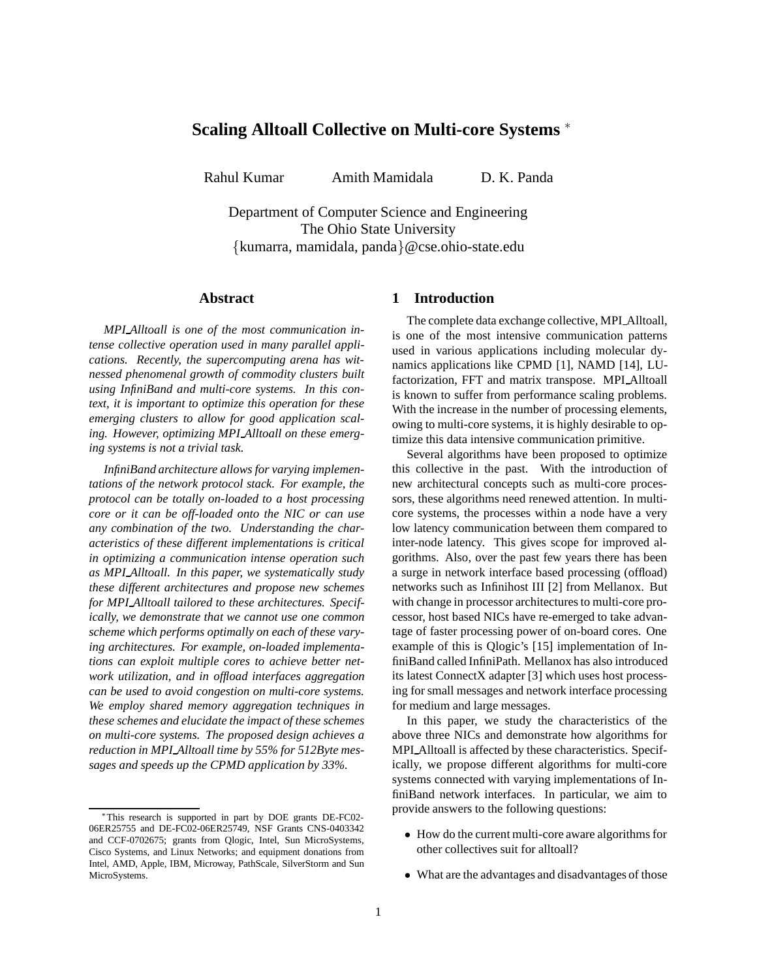# **Scaling Alltoall Collective on Multi-core Systems** <sup>∗</sup>

Rahul Kumar Amith Mamidala D. K. Panda

Department of Computer Science and Engineering The Ohio State University {kumarra, mamidala, panda}@cse.ohio-state.edu

# **Abstract**

*MPI Alltoall is one of the most communication intense collective operation used in many parallel applications. Recently, the supercomputing arena has witnessed phenomenal growth of commodity clusters built using InfiniBand and multi-core systems. In this context, it is important to optimize this operation for these emerging clusters to allow for good application scaling. However, optimizing MPI Alltoall on these emerging systems is not a trivial task.*

*InfiniBand architecture allows for varying implementations of the network protocol stack. For example, the protocol can be totally on-loaded to a host processing core or it can be off-loaded onto the NIC or can use any combination of the two. Understanding the characteristics of these different implementations is critical in optimizing a communication intense operation such as MPI Alltoall. In this paper, we systematically study these different architectures and propose new schemes for MPI Alltoall tailored to these architectures. Specifically, we demonstrate that we cannot use one common scheme which performs optimally on each of these varying architectures. For example, on-loaded implementations can exploit multiple cores to achieve better network utilization, and in offload interfaces aggregation can be used to avoid congestion on multi-core systems. We employ shared memory aggregation techniques in these schemes and elucidate the impact of these schemes on multi-core systems. The proposed design achieves a reduction in MPI Alltoall time by 55% for 512Byte messages and speeds up the CPMD application by 33%.*

# **1 Introduction**

The complete data exchange collective, MPI Alltoall, is one of the most intensive communication patterns used in various applications including molecular dynamics applications like CPMD [1], NAMD [14], LUfactorization, FFT and matrix transpose. MPI Alltoall is known to suffer from performance scaling problems. With the increase in the number of processing elements, owing to multi-core systems, it is highly desirable to optimize this data intensive communication primitive.

Several algorithms have been proposed to optimize this collective in the past. With the introduction of new architectural concepts such as multi-core processors, these algorithms need renewed attention. In multicore systems, the processes within a node have a very low latency communication between them compared to inter-node latency. This gives scope for improved algorithms. Also, over the past few years there has been a surge in network interface based processing (offload) networks such as Infinihost III [2] from Mellanox. But with change in processor architectures to multi-core processor, host based NICs have re-emerged to take advantage of faster processing power of on-board cores. One example of this is Qlogic's [15] implementation of InfiniBand called InfiniPath. Mellanox has also introduced its latest ConnectX adapter [3] which uses host processing for small messages and network interface processing for medium and large messages.

In this paper, we study the characteristics of the above three NICs and demonstrate how algorithms for MPI Alltoall is affected by these characteristics. Specifically, we propose different algorithms for multi-core systems connected with varying implementations of InfiniBand network interfaces. In particular, we aim to provide answers to the following questions:

- How do the current multi-core aware algorithms for other collectives suit for alltoall?
- What are the advantages and disadvantages of those

<sup>∗</sup>This research is supported in part by DOE grants DE-FC02- 06ER25755 and DE-FC02-06ER25749, NSF Grants CNS-0403342 and CCF-0702675; grants from Qlogic, Intel, Sun MicroSystems, Cisco Systems, and Linux Networks; and equipment donations from Intel, AMD, Apple, IBM, Microway, PathScale, SilverStorm and Sun MicroSystems.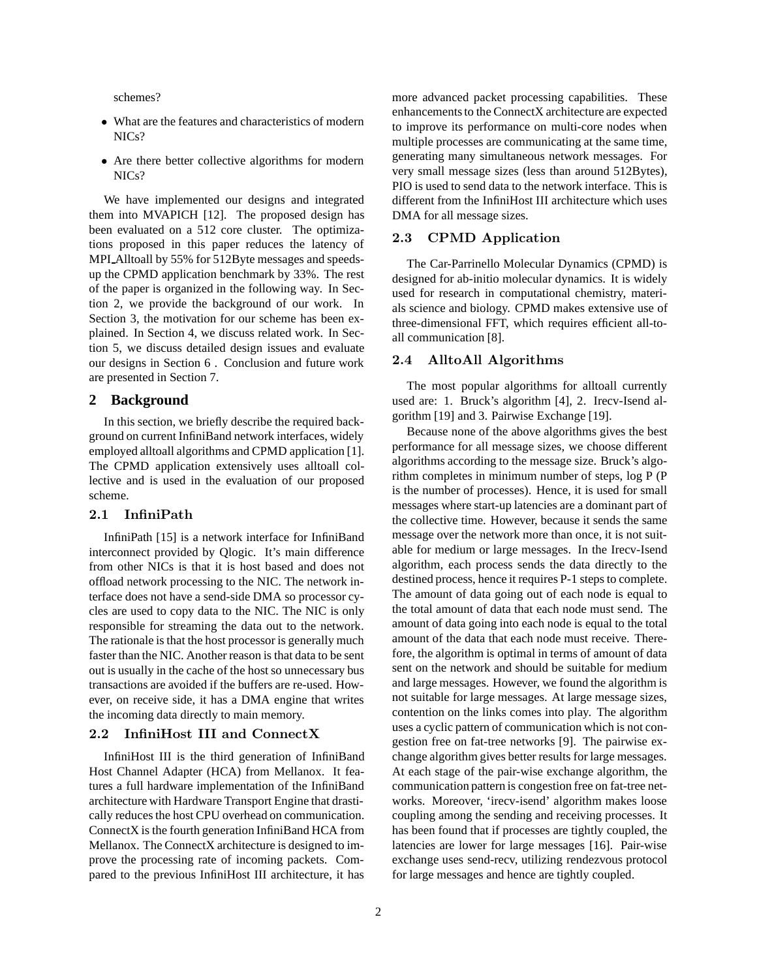schemes?

- What are the features and characteristics of modern NICs?
- Are there better collective algorithms for modern NICs?

We have implemented our designs and integrated them into MVAPICH [12]. The proposed design has been evaluated on a 512 core cluster. The optimizations proposed in this paper reduces the latency of MPI\_Alltoall by 55% for 512Byte messages and speedsup the CPMD application benchmark by 33%. The rest of the paper is organized in the following way. In Section 2, we provide the background of our work. In Section 3, the motivation for our scheme has been explained. In Section 4, we discuss related work. In Section 5, we discuss detailed design issues and evaluate our designs in Section 6 . Conclusion and future work are presented in Section 7.

# **2 Background**

In this section, we briefly describe the required background on current InfiniBand network interfaces, widely employed alltoall algorithms and CPMD application [1]. The CPMD application extensively uses alltoall collective and is used in the evaluation of our proposed scheme.

### 2.1 InfiniPath

InfiniPath [15] is a network interface for InfiniBand interconnect provided by Qlogic. It's main difference from other NICs is that it is host based and does not offload network processing to the NIC. The network interface does not have a send-side DMA so processor cycles are used to copy data to the NIC. The NIC is only responsible for streaming the data out to the network. The rationale is that the host processor is generally much faster than the NIC. Another reason is that data to be sent out is usually in the cache of the host so unnecessary bus transactions are avoided if the buffers are re-used. However, on receive side, it has a DMA engine that writes the incoming data directly to main memory.

#### 2.2 InfiniHost III and ConnectX

InfiniHost III is the third generation of InfiniBand Host Channel Adapter (HCA) from Mellanox. It features a full hardware implementation of the InfiniBand architecture with Hardware Transport Engine that drastically reduces the host CPU overhead on communication. ConnectX is the fourth generation InfiniBand HCA from Mellanox. The ConnectX architecture is designed to improve the processing rate of incoming packets. Compared to the previous InfiniHost III architecture, it has more advanced packet processing capabilities. These enhancements to the ConnectX architecture are expected to improve its performance on multi-core nodes when multiple processes are communicating at the same time, generating many simultaneous network messages. For very small message sizes (less than around 512Bytes), PIO is used to send data to the network interface. This is different from the InfiniHost III architecture which uses DMA for all message sizes.

#### 2.3 CPMD Application

The Car-Parrinello Molecular Dynamics (CPMD) is designed for ab-initio molecular dynamics. It is widely used for research in computational chemistry, materials science and biology. CPMD makes extensive use of three-dimensional FFT, which requires efficient all-toall communication [8].

### 2.4 AlltoAll Algorithms

The most popular algorithms for alltoall currently used are: 1. Bruck's algorithm [4], 2. Irecv-Isend algorithm [19] and 3. Pairwise Exchange [19].

Because none of the above algorithms gives the best performance for all message sizes, we choose different algorithms according to the message size. Bruck's algorithm completes in minimum number of steps, log P (P is the number of processes). Hence, it is used for small messages where start-up latencies are a dominant part of the collective time. However, because it sends the same message over the network more than once, it is not suitable for medium or large messages. In the Irecv-Isend algorithm, each process sends the data directly to the destined process, hence it requires P-1 steps to complete. The amount of data going out of each node is equal to the total amount of data that each node must send. The amount of data going into each node is equal to the total amount of the data that each node must receive. Therefore, the algorithm is optimal in terms of amount of data sent on the network and should be suitable for medium and large messages. However, we found the algorithm is not suitable for large messages. At large message sizes, contention on the links comes into play. The algorithm uses a cyclic pattern of communication which is not congestion free on fat-tree networks [9]. The pairwise exchange algorithm gives better results for large messages. At each stage of the pair-wise exchange algorithm, the communication pattern is congestion free on fat-tree networks. Moreover, 'irecv-isend' algorithm makes loose coupling among the sending and receiving processes. It has been found that if processes are tightly coupled, the latencies are lower for large messages [16]. Pair-wise exchange uses send-recv, utilizing rendezvous protocol for large messages and hence are tightly coupled.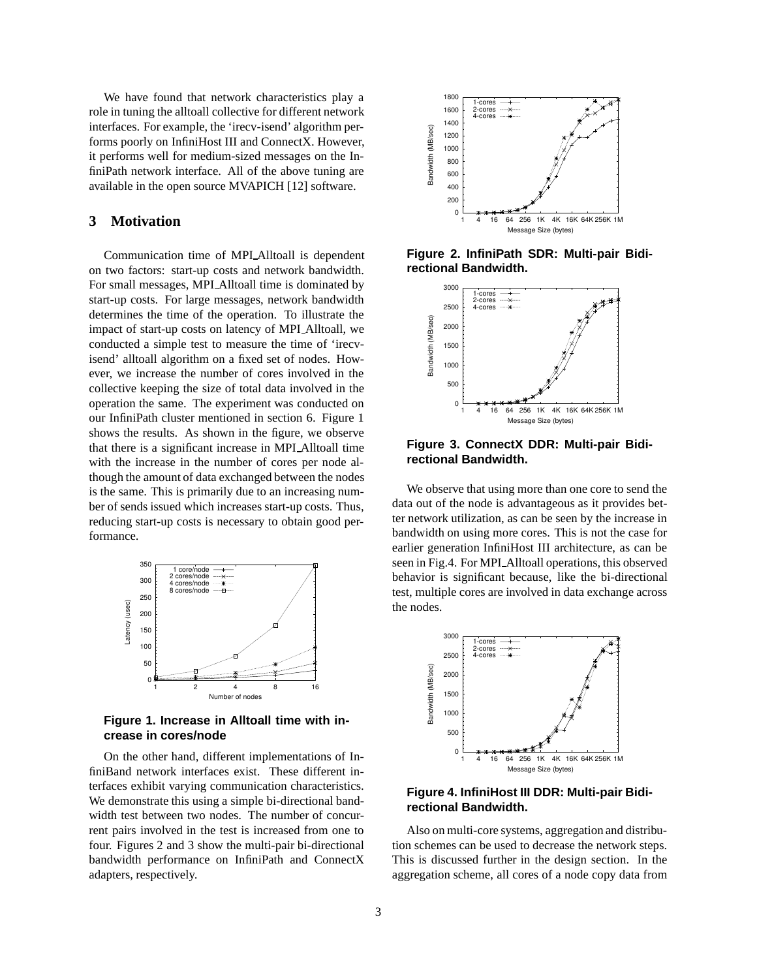We have found that network characteristics play a role in tuning the alltoall collective for different network interfaces. For example, the 'irecv-isend' algorithm performs poorly on InfiniHost III and ConnectX. However, it performs well for medium-sized messages on the InfiniPath network interface. All of the above tuning are available in the open source MVAPICH [12] software.

# **3 Motivation**

Communication time of MPI Alltoall is dependent on two factors: start-up costs and network bandwidth. For small messages, MPI Alltoall time is dominated by start-up costs. For large messages, network bandwidth determines the time of the operation. To illustrate the impact of start-up costs on latency of MPI Alltoall, we conducted a simple test to measure the time of 'irecvisend' alltoall algorithm on a fixed set of nodes. However, we increase the number of cores involved in the collective keeping the size of total data involved in the operation the same. The experiment was conducted on our InfiniPath cluster mentioned in section 6. Figure 1 shows the results. As shown in the figure, we observe that there is a significant increase in MPI Alltoall time with the increase in the number of cores per node although the amount of data exchanged between the nodes is the same. This is primarily due to an increasing number of sends issued which increases start-up costs. Thus, reducing start-up costs is necessary to obtain good performance.



**Figure 1. Increase in Alltoall time with increase in cores/node**

On the other hand, different implementations of InfiniBand network interfaces exist. These different interfaces exhibit varying communication characteristics. We demonstrate this using a simple bi-directional bandwidth test between two nodes. The number of concurrent pairs involved in the test is increased from one to four. Figures 2 and 3 show the multi-pair bi-directional bandwidth performance on InfiniPath and ConnectX adapters, respectively.



**Figure 2. InfiniPath SDR: Multi-pair Bidirectional Bandwidth.**



**Figure 3. ConnectX DDR: Multi-pair Bidirectional Bandwidth.**

We observe that using more than one core to send the data out of the node is advantageous as it provides better network utilization, as can be seen by the increase in bandwidth on using more cores. This is not the case for earlier generation InfiniHost III architecture, as can be seen in Fig.4. For MPI Alltoall operations, this observed behavior is significant because, like the bi-directional test, multiple cores are involved in data exchange across the nodes.



### **Figure 4. InfiniHost III DDR: Multi-pair Bidirectional Bandwidth.**

Also on multi-core systems, aggregation and distribution schemes can be used to decrease the network steps. This is discussed further in the design section. In the aggregation scheme, all cores of a node copy data from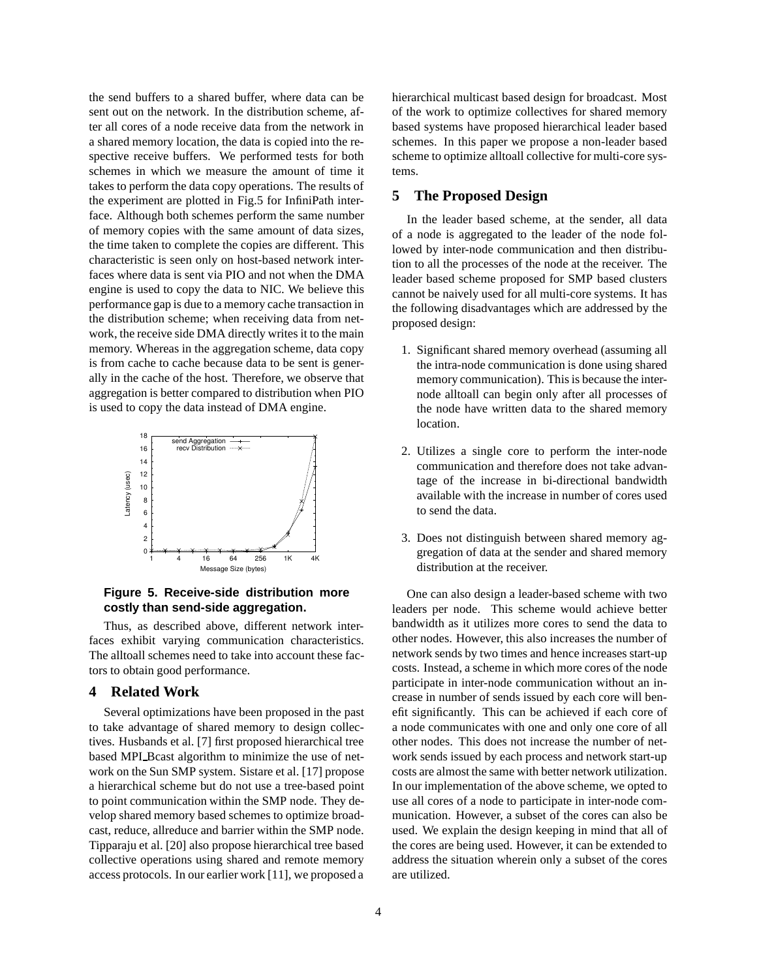the send buffers to a shared buffer, where data can be sent out on the network. In the distribution scheme, after all cores of a node receive data from the network in a shared memory location, the data is copied into the respective receive buffers. We performed tests for both schemes in which we measure the amount of time it takes to perform the data copy operations. The results of the experiment are plotted in Fig.5 for InfiniPath interface. Although both schemes perform the same number of memory copies with the same amount of data sizes, the time taken to complete the copies are different. This characteristic is seen only on host-based network interfaces where data is sent via PIO and not when the DMA engine is used to copy the data to NIC. We believe this performance gap is due to a memory cache transaction in the distribution scheme; when receiving data from network, the receive side DMA directly writes it to the main memory. Whereas in the aggregation scheme, data copy is from cache to cache because data to be sent is generally in the cache of the host. Therefore, we observe that aggregation is better compared to distribution when PIO is used to copy the data instead of DMA engine.



**Figure 5. Receive-side distribution more costly than send-side aggregation.**

Thus, as described above, different network interfaces exhibit varying communication characteristics. The alltoall schemes need to take into account these factors to obtain good performance.

# **4 Related Work**

Several optimizations have been proposed in the past to take advantage of shared memory to design collectives. Husbands et al. [7] first proposed hierarchical tree based MPI Bcast algorithm to minimize the use of network on the Sun SMP system. Sistare et al. [17] propose a hierarchical scheme but do not use a tree-based point to point communication within the SMP node. They develop shared memory based schemes to optimize broadcast, reduce, allreduce and barrier within the SMP node. Tipparaju et al. [20] also propose hierarchical tree based collective operations using shared and remote memory access protocols. In our earlier work [11], we proposed a

hierarchical multicast based design for broadcast. Most of the work to optimize collectives for shared memory based systems have proposed hierarchical leader based schemes. In this paper we propose a non-leader based scheme to optimize alltoall collective for multi-core systems.

### **5 The Proposed Design**

In the leader based scheme, at the sender, all data of a node is aggregated to the leader of the node followed by inter-node communication and then distribution to all the processes of the node at the receiver. The leader based scheme proposed for SMP based clusters cannot be naively used for all multi-core systems. It has the following disadvantages which are addressed by the proposed design:

- 1. Significant shared memory overhead (assuming all the intra-node communication is done using shared memory communication). This is because the internode alltoall can begin only after all processes of the node have written data to the shared memory location.
- 2. Utilizes a single core to perform the inter-node communication and therefore does not take advantage of the increase in bi-directional bandwidth available with the increase in number of cores used to send the data.
- 3. Does not distinguish between shared memory aggregation of data at the sender and shared memory distribution at the receiver.

One can also design a leader-based scheme with two leaders per node. This scheme would achieve better bandwidth as it utilizes more cores to send the data to other nodes. However, this also increases the number of network sends by two times and hence increases start-up costs. Instead, a scheme in which more cores of the node participate in inter-node communication without an increase in number of sends issued by each core will benefit significantly. This can be achieved if each core of a node communicates with one and only one core of all other nodes. This does not increase the number of network sends issued by each process and network start-up costs are almost the same with better network utilization. In our implementation of the above scheme, we opted to use all cores of a node to participate in inter-node communication. However, a subset of the cores can also be used. We explain the design keeping in mind that all of the cores are being used. However, it can be extended to address the situation wherein only a subset of the cores are utilized.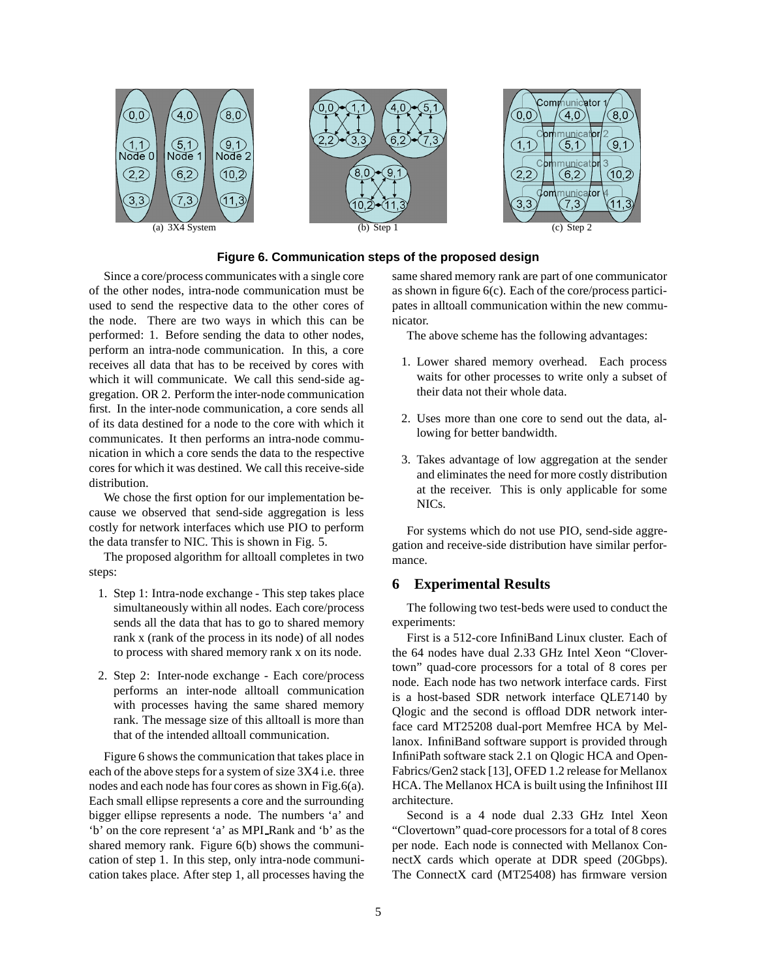

#### **Figure 6. Communication steps of the proposed design**

Since a core/process communicates with a single core of the other nodes, intra-node communication must be used to send the respective data to the other cores of the node. There are two ways in which this can be performed: 1. Before sending the data to other nodes, perform an intra-node communication. In this, a core receives all data that has to be received by cores with which it will communicate. We call this send-side aggregation. OR 2. Perform the inter-node communication first. In the inter-node communication, a core sends all of its data destined for a node to the core with which it communicates. It then performs an intra-node communication in which a core sends the data to the respective cores for which it was destined. We call this receive-side distribution.

We chose the first option for our implementation because we observed that send-side aggregation is less costly for network interfaces which use PIO to perform the data transfer to NIC. This is shown in Fig. 5.

The proposed algorithm for alltoall completes in two steps:

- 1. Step 1: Intra-node exchange This step takes place simultaneously within all nodes. Each core/process sends all the data that has to go to shared memory rank x (rank of the process in its node) of all nodes to process with shared memory rank x on its node.
- 2. Step 2: Inter-node exchange Each core/process performs an inter-node alltoall communication with processes having the same shared memory rank. The message size of this alltoall is more than that of the intended alltoall communication.

Figure 6 shows the communication that takes place in each of the above steps for a system of size 3X4 i.e. three nodes and each node has four cores as shown in Fig.6(a). Each small ellipse represents a core and the surrounding bigger ellipse represents a node. The numbers 'a' and 'b' on the core represent 'a' as MPI Rank and 'b' as the shared memory rank. Figure 6(b) shows the communication of step 1. In this step, only intra-node communication takes place. After step 1, all processes having the

same shared memory rank are part of one communicator as shown in figure 6(c). Each of the core/process participates in alltoall communication within the new communicator.

The above scheme has the following advantages:

- 1. Lower shared memory overhead. Each process waits for other processes to write only a subset of their data not their whole data.
- 2. Uses more than one core to send out the data, allowing for better bandwidth.
- 3. Takes advantage of low aggregation at the sender and eliminates the need for more costly distribution at the receiver. This is only applicable for some NICs.

For systems which do not use PIO, send-side aggregation and receive-side distribution have similar performance.

# **6 Experimental Results**

The following two test-beds were used to conduct the experiments:

First is a 512-core InfiniBand Linux cluster. Each of the 64 nodes have dual 2.33 GHz Intel Xeon "Clovertown" quad-core processors for a total of 8 cores per node. Each node has two network interface cards. First is a host-based SDR network interface QLE7140 by Qlogic and the second is offload DDR network interface card MT25208 dual-port Memfree HCA by Mellanox. InfiniBand software support is provided through InfiniPath software stack 2.1 on Qlogic HCA and Open-Fabrics/Gen2 stack [13], OFED 1.2 release for Mellanox HCA. The Mellanox HCA is built using the Infinihost III architecture.

Second is a 4 node dual 2.33 GHz Intel Xeon "Clovertown" quad-core processors for a total of 8 cores per node. Each node is connected with Mellanox ConnectX cards which operate at DDR speed (20Gbps). The ConnectX card (MT25408) has firmware version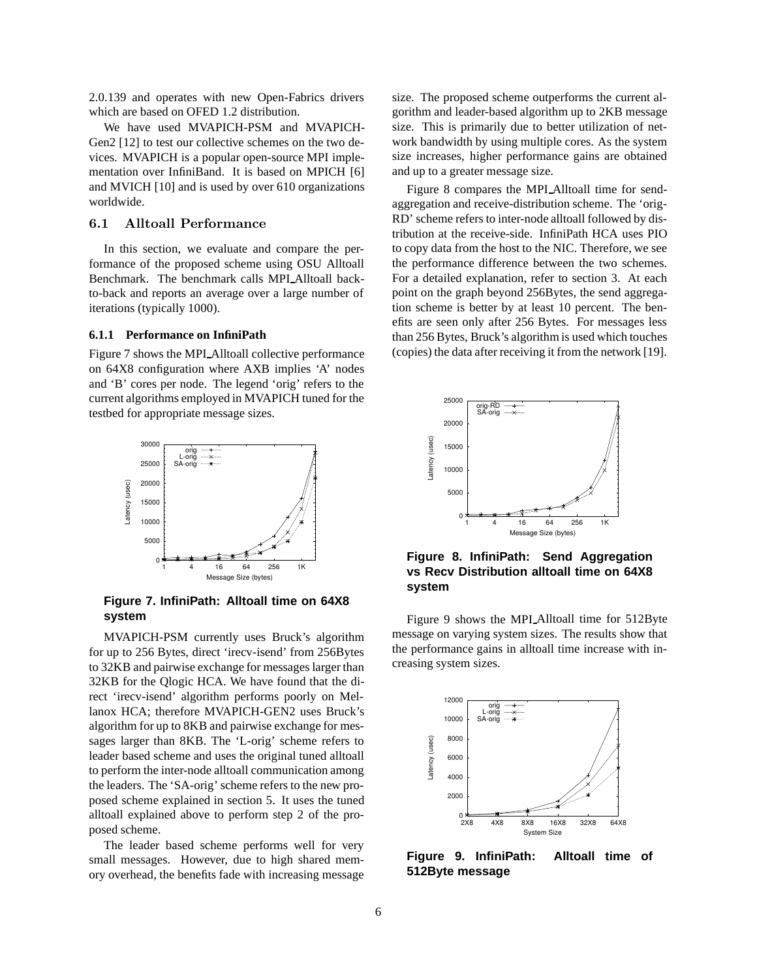2.0.139 and operates with new Open-Fabrics drivers which are based on OFED 1.2 distribution.

We have used MVAPICH-PSM and MVAPICH-Gen2 [12] to test our collective schemes on the two devices. MVAPICH is a popular open-source MPI implementation over InfiniBand. It is based on MPICH [6] and MVICH [10] and is used by over 610 organizations worldwide.

# 6.1 Alltoall Performance

In this section, we evaluate and compare the performance of the proposed scheme using OSU Alltoall Benchmark. The benchmark calls MPI Alltoall backto-back and reports an average over a large number of iterations (typically 1000).

#### **6.1.1 Performance on InfiniPath**

Figure 7 shows the MPI Alltoall collective performance on 64X8 configuration where AXB implies 'A' nodes and 'B' cores per node. The legend 'orig' refers to the current algorithms employed in MVAPICH tuned for the testbed for appropriate message sizes.



### **Figure 7. InfiniPath: Alltoall time on 64X8 system**

MVAPICH-PSM currently uses Bruck's algorithm for up to 256 Bytes, direct 'irecv-isend' from 256Bytes to 32KB and pairwise exchange for messages larger than 32KB for the Qlogic HCA. We have found that the direct 'irecv-isend' algorithm performs poorly on Mellanox HCA; therefore MVAPICH-GEN2 uses Bruck's algorithm for up to 8KB and pairwise exchange for messages larger than 8KB. The 'L-orig' scheme refers to leader based scheme and uses the original tuned alltoall to perform the inter-node alltoall communication among the leaders. The 'SA-orig' scheme refers to the new proposed scheme explained in section 5. It uses the tuned alltoall explained above to perform step 2 of the proposed scheme.

The leader based scheme performs well for very small messages. However, due to high shared memory overhead, the benefits fade with increasing message size. The proposed scheme outperforms the current algorithm and leader-based algorithm up to 2KB message size. This is primarily due to better utilization of network bandwidth by using multiple cores. As the system size increases, higher performance gains are obtained and up to a greater message size.

Figure 8 compares the MPI Alltoall time for sendaggregation and receive-distribution scheme. The 'orig-RD' scheme refers to inter-node alltoall followed by distribution at the receive-side. InfiniPath HCA uses PIO to copy data from the host to the NIC. Therefore, we see the performance difference between the two schemes. For a detailed explanation, refer to section 3. At each point on the graph beyond 256Bytes, the send aggregation scheme is better by at least 10 percent. The benefits are seen only after 256 Bytes. For messages less than 256 Bytes, Bruck's algorithm is used which touches (copies) the data after receiving it from the network [19].



**Figure 8. InfiniPath: Send Aggregation vs Recv Distribution alltoall time on 64X8 system**

Figure 9 shows the MPI Alltoall time for 512Byte message on varying system sizes. The results show that the performance gains in alltoall time increase with increasing system sizes.



**Figure 9. InfiniPath: Alltoall time of 512Byte message**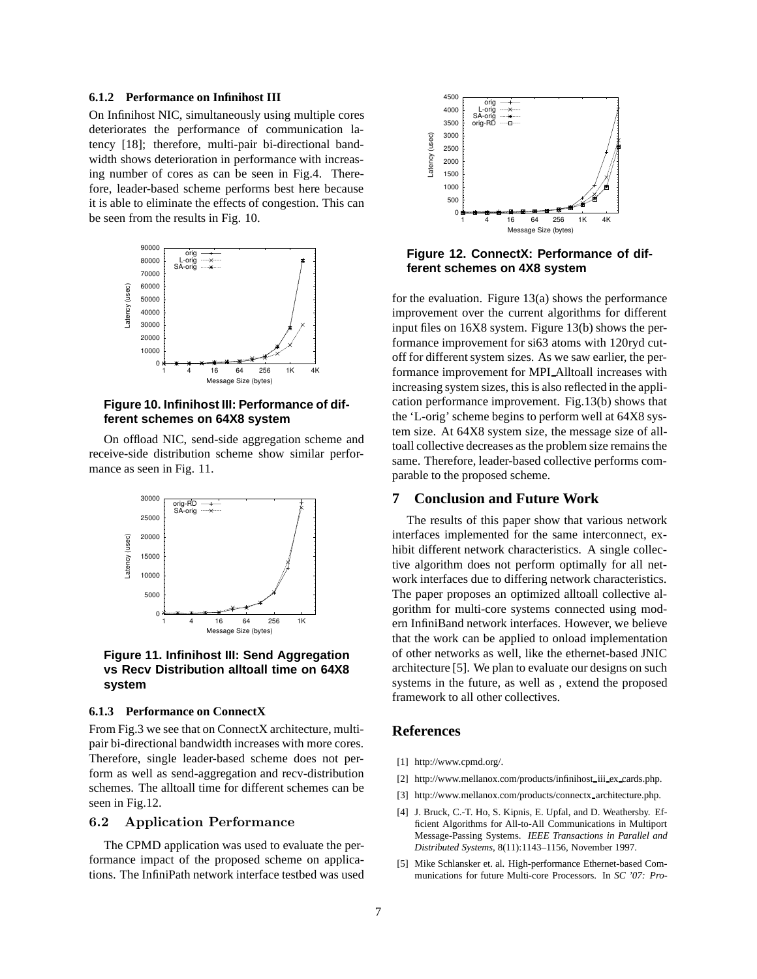#### **6.1.2 Performance on Infinihost III**

On Infinihost NIC, simultaneously using multiple cores deteriorates the performance of communication latency [18]; therefore, multi-pair bi-directional bandwidth shows deterioration in performance with increasing number of cores as can be seen in Fig.4. Therefore, leader-based scheme performs best here because it is able to eliminate the effects of congestion. This can be seen from the results in Fig. 10.



**Figure 10. Infinihost III: Performance of different schemes on 64X8 system**

On offload NIC, send-side aggregation scheme and receive-side distribution scheme show similar performance as seen in Fig. 11.



**Figure 11. Infinihost III: Send Aggregation vs Recv Distribution alltoall time on 64X8 system**

#### **6.1.3 Performance on ConnectX**

From Fig.3 we see that on ConnectX architecture, multipair bi-directional bandwidth increases with more cores. Therefore, single leader-based scheme does not perform as well as send-aggregation and recv-distribution schemes. The alltoall time for different schemes can be seen in Fig.12.

### 6.2 Application Performance

The CPMD application was used to evaluate the performance impact of the proposed scheme on applications. The InfiniPath network interface testbed was used



**Figure 12. ConnectX: Performance of different schemes on 4X8 system**

for the evaluation. Figure 13(a) shows the performance improvement over the current algorithms for different input files on 16X8 system. Figure 13(b) shows the performance improvement for si63 atoms with 120ryd cutoff for different system sizes. As we saw earlier, the performance improvement for MPI Alltoall increases with increasing system sizes, this is also reflected in the application performance improvement. Fig.13(b) shows that the 'L-orig' scheme begins to perform well at 64X8 system size. At 64X8 system size, the message size of alltoall collective decreases as the problem size remains the same. Therefore, leader-based collective performs comparable to the proposed scheme.

### **7 Conclusion and Future Work**

The results of this paper show that various network interfaces implemented for the same interconnect, exhibit different network characteristics. A single collective algorithm does not perform optimally for all network interfaces due to differing network characteristics. The paper proposes an optimized alltoall collective algorithm for multi-core systems connected using modern InfiniBand network interfaces. However, we believe that the work can be applied to onload implementation of other networks as well, like the ethernet-based JNIC architecture [5]. We plan to evaluate our designs on such systems in the future, as well as , extend the proposed framework to all other collectives.

# **References**

- [1] http://www.cpmd.org/.
- [2] http://www.mellanox.com/products/infinihost iii ex cards.php.
- [3] http://www.mellanox.com/products/connectx architecture.php.
- [4] J. Bruck, C.-T. Ho, S. Kipnis, E. Upfal, and D. Weathersby. Efficient Algorithms for All-to-All Communications in Multiport Message-Passing Systems. *IEEE Transactions in Parallel and Distributed Systems*, 8(11):1143–1156, November 1997.
- [5] Mike Schlansker et. al. High-performance Ethernet-based Communications for future Multi-core Processors. In *SC '07: Pro-*